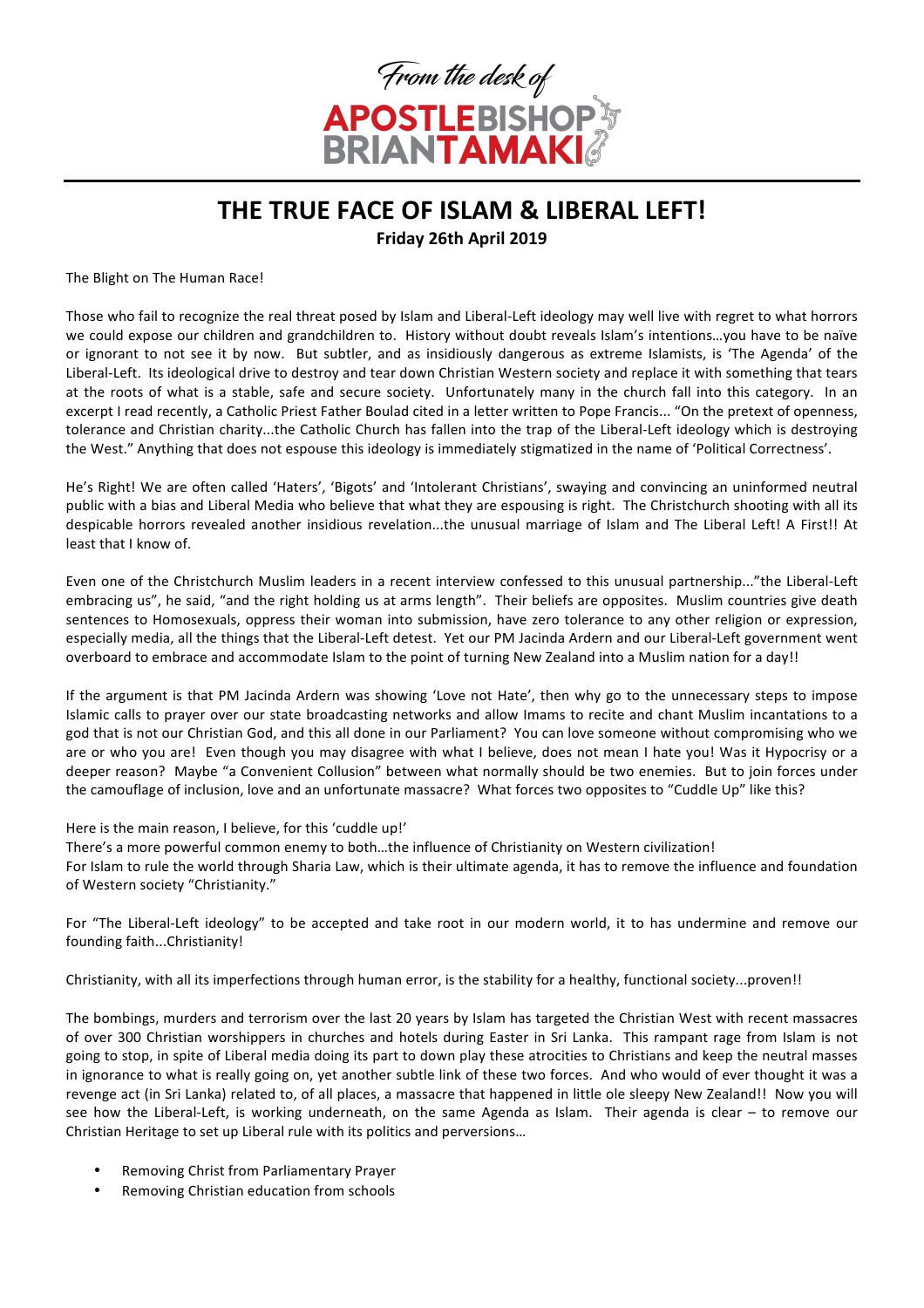

## THE TRUE FACE OF ISLAM & LIBERAL LEFT! **Friday 26th April 2019**

The Blight on The Human Race!

Those who fail to recognize the real threat posed by Islam and Liberal-Left ideology may well live with regret to what horrors we could expose our children and grandchildren to. History without doubt reveals Islam's intentions…you have to be naïve or ignorant to not see it by now. But subtler, and as insidiously dangerous as extreme Islamists, is 'The Agenda' of the Liberal-Left. Its ideological drive to destroy and tear down Christian Western society and replace it with something that tears at the roots of what is a stable, safe and secure society. Unfortunately many in the church fall into this category. In an excerpt I read recently, a Catholic Priest Father Boulad cited in a letter written to Pope Francis... "On the pretext of openness, tolerance and Christian charity...the Catholic Church has fallen into the trap of the Liberal-Left ideology which is destroying the West." Anything that does not espouse this ideology is immediately stigmatized in the name of 'Political Correctness'.

He's Right! We are often called 'Haters', 'Bigots' and 'Intolerant Christians', swaying and convincing an uninformed neutral public with a bias and Liberal Media who believe that what they are espousing is right. The Christchurch shooting with all its despicable horrors revealed another insidious revelation...the unusual marriage of Islam and The Liberal Left! A First!! At least that I know of

Even one of the Christchurch Muslim leaders in a recent interview confessed to this unusual partnership..."the Liberal-Left embracing us", he said, "and the right holding us at arms length". Their beliefs are opposites. Muslim countries give death sentences to Homosexuals, oppress their woman into submission, have zero tolerance to any other religion or expression, especially media, all the things that the Liberal-Left detest. Yet our PM Jacinda Ardern and our Liberal-Left government went overboard to embrace and accommodate Islam to the point of turning New Zealand into a Muslim nation for a day!!

If the argument is that PM Jacinda Ardern was showing 'Love not Hate', then why go to the unnecessary steps to impose Islamic calls to prayer over our state broadcasting networks and allow Imams to recite and chant Muslim incantations to a god that is not our Christian God, and this all done in our Parliament? You can love someone without compromising who we are or who you are! Even though you may disagree with what I believe, does not mean I hate you! Was it Hypocrisy or a deeper reason? Maybe "a Convenient Collusion" between what normally should be two enemies. But to join forces under the camouflage of inclusion, love and an unfortunate massacre? What forces two opposites to "Cuddle Up" like this?

Here is the main reason. I believe, for this 'cuddle up!'

There's a more powerful common enemy to both...the influence of Christianity on Western civilization! For Islam to rule the world through Sharia Law, which is their ultimate agenda, it has to remove the influence and foundation of Western society "Christianity."

For "The Liberal-Left ideology" to be accepted and take root in our modern world, it to has undermine and remove our founding faith...Christianity!

Christianity, with all its imperfections through human error, is the stability for a healthy, functional society...proven!!

The bombings, murders and terrorism over the last 20 years by Islam has targeted the Christian West with recent massacres of over 300 Christian worshippers in churches and hotels during Easter in Sri Lanka. This rampant rage from Islam is not going to stop, in spite of Liberal media doing its part to down play these atrocities to Christians and keep the neutral masses in ignorance to what is really going on, yet another subtle link of these two forces. And who would of ever thought it was a revenge act (in Sri Lanka) related to, of all places, a massacre that happened in little ole sleepy New Zealand!! Now you will see how the Liberal-Left, is working underneath, on the same Agenda as Islam. Their agenda is clear – to remove our Christian Heritage to set up Liberal rule with its politics and perversions...

- Removing Christ from Parliamentary Prayer
- Removing Christian education from schools